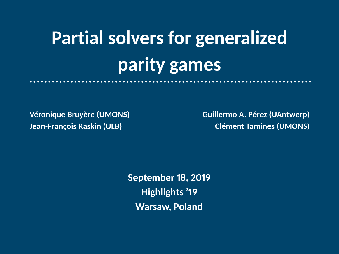# **Partial solvers for generalized parity games**

**Véronique Bruyère (UMONS) Guillermo A. Pérez (UAntwerp) Jean-François Raskin (ULB)** Clément Tamines (UMONS)

> **September 18, 2019 Highlights '19 Warsaw, Poland**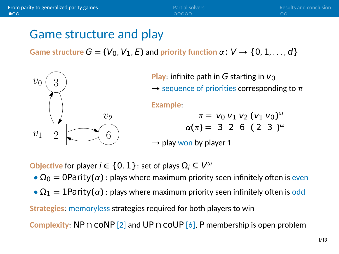#### <span id="page-1-0"></span>Game structure and play

**Game structure**  $G = (V_0, V_1, E)$  and priority function  $\alpha: V \rightarrow \{0, 1, ..., d\}$ 



**Play:** infinite path in  $G$  starting in  $V_0$ 

**→** sequence of priorities corresponding to π

**Example**:

$$
π = V_0 V_1 V_2 (V_1 V_0)^{\omega}
$$
  
\n $α(π) = 3 2 6 (2 3)^{\omega}$ 

→ play won by player 1

**Objective** for player  $i \in \{0, 1\}$ : set of plays  $\Omega_i \subseteq V^\omega$ 

- $\Omega_0 = 0$ Parity $(\alpha)$ : plays where maximum priority seen infinitely often is even
- **•**  $\Omega_1 = 1$ Parity $(\alpha)$ : plays where maximum priority seen infinitely often is odd

**Strategies**: memoryless strategies required for both players to win

**Complexity**: NP **∩** coNP [\[2\]](#page-11-0) and UP **∩** coUP [\[6\]](#page-12-0), P membership is open problem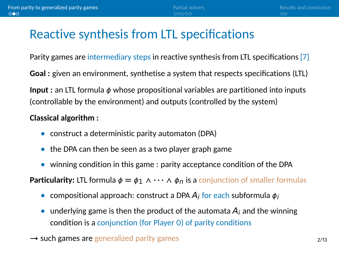## Reactive synthesis from LTL specifications

Parity games are intermediary steps in reactive synthesis from LTL specifications [\[7\]](#page-12-1)

**Goal :** given an environment, synthetise a system that respects specifications (LTL)

**Input :** an LTL formula ϕ whose propositional variables are partitioned into inputs (controllable by the environment) and outputs (controlled by the system)

#### **Classical algorithm :**

- **•** construct a deterministic parity automaton (DPA)
- **•** the DPA can then be seen as a two player graph game
- **•** winning condition in this game : parity acceptance condition of the DPA

**Particularity:** LTL formula  $\phi = \phi_1 \land \cdots \land \phi_n$  is a conjunction of smaller formulas

- compositional approach: construct a DPA A<sub>i</sub> for each subformula  $\phi_i$
- underlying game is then the product of the automata  $A_i$  and the winning condition is a conjunction (for Player 0) of parity conditions
- → such games are generalized parity games 2013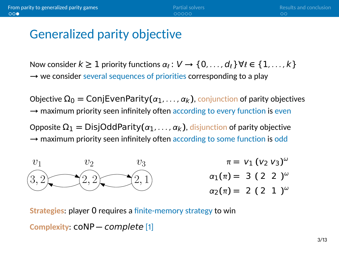### Generalized parity objective

Now consider  $k \geq 1$  priority functions  $\alpha_k : V \to \{0, \ldots, d_\ell\} \forall \ell \in \{1, \ldots, k\}$ → we consider several sequences of priorities corresponding to a play

Objective  $Ω<sub>0</sub> = Con[EventParity(α<sub>1</sub>, …, α<sub>k</sub>)$ , conjunction of parity objectives → maximum priority seen infinitely often according to every function is even

Opposite Ω<sup>1</sup> **=** DisjOddParity**(**α1, . . . , αk**)**, disjunction of parity objective → maximum priority seen infinitely often according to some function is odd



**Strategies**: player 0 requires a finite-memory strategy to win **Complexity**: coNP **−** complete [\[1\]](#page-11-1)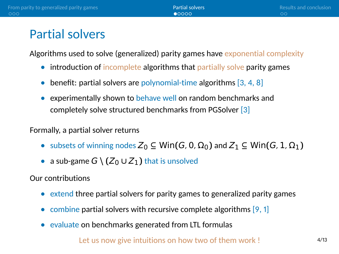### <span id="page-4-0"></span>Partial solvers

Algorithms used to solve (generalized) parity games have exponential complexity

- introduction of incomplete algorithms that partially solve parity games
- benefit: partial solvers are polynomial-time algorithms [\[3,](#page-11-2) [4,](#page-11-3) [8\]](#page-13-0)
- **•** experimentally shown to behave well on random benchmarks and completely solve structured benchmarks from PGSolver [\[3\]](#page-11-2)

#### Formally, a partial solver returns

- $\bullet$  subsets of winning nodes  $Z_0$  ⊆ Win( $G$ , 0,  $\Omega_0$ ) and  $Z_1$  ⊆ Win( $G$ , 1,  $\Omega_1$ )
- a sub-game  $G \setminus (Z_0 \cup Z_1)$  that is unsolved

Our contributions

- **•** extend three partial solvers for parity games to generalized parity games
- combine partial solvers with recursive complete algorithms [\[9,](#page-13-1) [1\]](#page-11-1)
- **•** evaluate on benchmarks generated from LTL formulas

Let us now give intuitions on how two of them work !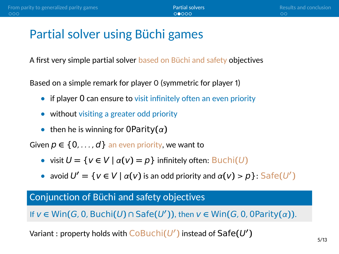## Partial solver using Büchi games

A first very simple partial solver based on Büchi and safety objectives

Based on a simple remark for player 0 (symmetric for player 1)

- **if player 0 can ensure to visit infinitely often an even priority**
- **•** without visiting a greater odd priority
- **•** then he is winning for 0Parity**(**α**)**

Given  $p \in \{0, \ldots, d\}$  an even priority, we want to

- **•** visit U **=** {v **∈** V **|** <sup>α</sup>**(**v**) =** p} infinitely often: Buchi**(**U**)**
- **•** avoid  $U' = \{v \in V \mid \alpha(v) \text{ is an odd priority and } \alpha(v) > p\}$ : Safe $(U')$

#### Conjunction of Büchi and safety objectives

If  $v \in \text{Win}(G, 0, \text{Buchi}(U) \cap \text{Safe}(U'))$ , then  $v \in \text{Win}(G, 0, \text{0Parity}(\alpha))$ .

Variant : property holds with  $\overline{\mathsf{CoBuchi}}(U')$  instead of  $\mathsf{Safe}(U')$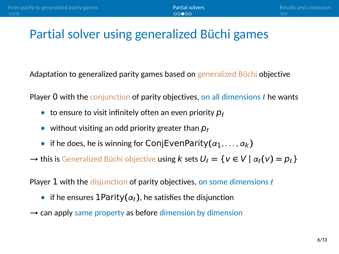## Partial solver using generalized Büchi games

Adaptation to generalized parity games based on generalized Büchi objective

Player 0 with the conjunction of parity objectives, on all dimensions  $\ell$  he wants

- to ensure to visit infinitely often an even priority  $p_{\ell}$
- without visiting an odd priority greater than  $p_{\ell}$
- if he does, he is winning for ConjEvenParity $(\alpha_1, \ldots, \alpha_k)$

 $\rightarrow$  this is Generalized Büchi objective using k sets  $U_{\ell} = \{v \in V \mid \alpha_{\ell}(v) = p_{\ell}\}\$ 

Player 1 with the disjunction of parity objectives, on some dimensions  $\ell$ 

- if he ensures  $1$ Parity $(\alpha_i)$ , he satisfies the disjunction
- → can apply same property as before dimension by dimension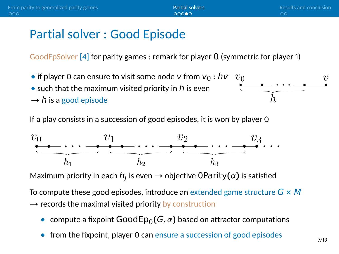### Partial solver : Good Episode

GoodEpSolver [\[4\]](#page-11-3) for parity games : remark for player 0 (symmetric for player 1)

- if player 0 can ensure to visit some node  $V$  from  $V_0 : hv$
- such that the maximum visited priority in h is even
- $\rightarrow$  h is a good episode

 $v_0$   $v$ . . . h

If a play consists in a succession of good episodes, it is won by player 0



Maximum priority in each h<sup>j</sup> is even **→** objective 0Parity**(**α**)** is satisfied

To compute these good episodes, introduce an extended game structure G **×** M → records the maximal visited priority by construction

- **•** compute a fixpoint  $GoodEp<sub>0</sub>(G, \alpha)$  based on attractor computations
- **•** from the fixpoint, player 0 can ensure a succession of good episodes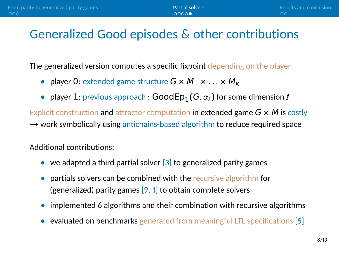#### Generalized Good episodes & other contributions

The generalized version computes a specific fixpoint depending on the player

- player 0: extended game structure  $G \times M_1 \times ... \times M_k$
- player 1: previous approach :  $GoodEp_1(G, \alpha_l)$  for some dimension  $\ell$

Explicit construction and attractor computation in extended game G **×** M is costly → work symbolically using antichains-based algorithm to reduce required space

Additional contributions:

- we adapted a third partial solver [\[3\]](#page-11-2) to generalized parity games
- **•** partials solvers can be combined with the recursive algorithm for (generalized) parity games  $[9, 1]$  $[9, 1]$  to obtain complete solvers
- implemented 6 algorithms and their combination with recursive algorithms
- evaluated on benchmarks generated from meaningful LTL specifications [\[5\]](#page-12-2)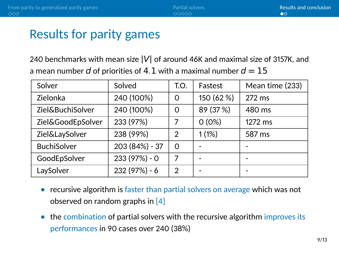### <span id="page-9-0"></span>Results for parity games

240 benchmarks with mean size **|**V**|** of around 46K and maximal size of 3157K, and a mean number d of priorities of 4.1 with a maximal number  $d = 15$ 

| Solver             | Solved         | T.O.     | Fastest    | Mean time (233) |
|--------------------|----------------|----------|------------|-----------------|
| Zielonka           | 240 (100%)     | $\Omega$ | 150 (62 %) | 272 ms          |
| Ziel&BuchiSolver   | 240 (100%)     | $\Omega$ | 89 (37 %)  | 480 ms          |
| Ziel&GoodEpSolver  | 233 (97%)      |          | $0(0\%)$   | 1272 ms         |
| Ziel&LaySolver     | 238 (99%)      | 2        | 1(1%)      | 587 ms          |
| <b>BuchiSolver</b> | 203 (84%) - 37 | $\Omega$ |            |                 |
| GoodEpSolver       | 233 (97%) - 0  | 7        |            |                 |
| LaySolver          | 232 (97%) - 6  | 2        |            |                 |

- recursive algorithm is faster than partial solvers on average which was not observed on random graphs in [\[4\]](#page-11-3)
- the combination of partial solvers with the recursive algorithm improves its performances in 90 cases over 240 (38%)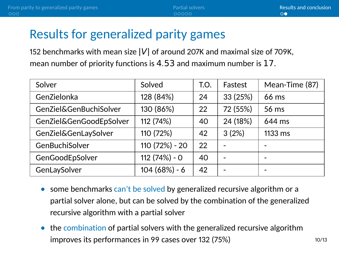## Results for generalized parity games

152 benchmarks with mean size **|**V**|** of around 207K and maximal size of 709K, mean number of priority functions is 4.53 and maximum number is 17.

| Solver                  | Solved         | T.O. | Fastest  | Mean-Time (87) |
|-------------------------|----------------|------|----------|----------------|
| GenZielonka             | 128 (84%)      | 24   | 33 (25%) | 66 ms          |
| GenZiel&GenBuchiSolver  | 130 (86%)      | 22   | 72 (55%) | 56 ms          |
| GenZiel&GenGoodEpSolver | 112 (74%)      | 40   | 24 (18%) | 644 ms         |
| GenZiel&GenLaySolver    | 110 (72%)      | 42   | 3(2%)    | 1133 ms        |
| GenBuchiSolver          | 110 (72%) - 20 | 22   |          |                |
| GenGoodEpSolver         | 112 (74%) - 0  | 40   |          |                |
| GenLaySolver            | $104(68%) - 6$ | 42   |          |                |

- some benchmarks can't be solved by generalized recursive algorithm or a partial solver alone, but can be solved by the combination of the generalized recursive algorithm with a partial solver
- the combination of partial solvers with the generalized recursive algorithm improves its performances in 99 cases over  $132(75%)$  10/13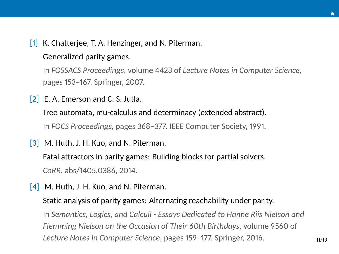<span id="page-11-1"></span>[1] K. Chatterjee, T. A. Henzinger, and N. Piterman.

#### Generalized parity games.

In *FOSSACS Proceedings*, volume 4423 of *Lecture Notes in Computer Science*, pages 153–167. Springer, 2007.

<span id="page-11-0"></span>[2] E. A. Emerson and C. S. Jutla.

Tree automata, mu-calculus and determinacy (extended abstract). In *FOCS Proceedings*, pages 368–377. IEEE Computer Society, 1991.

<span id="page-11-2"></span>[3] M. Huth, J. H. Kuo, and N. Piterman.

Fatal attractors in parity games: Building blocks for partial solvers.

*CoRR*, abs/1405.0386, 2014.

<span id="page-11-3"></span> $[4]$  M. Huth, J. H. Kuo, and N. Piterman.

Static analysis of parity games: Alternating reachability under parity. In *Semantics, Logics, and Calculi - Essays Dedicated to Hanne Riis Nielson and Flemming Nielson on the Occasion of Their 60th Birthdays*, volume 9560 of *Lecture Notes in Computer Science*, pages 159-177. Springer, 2016.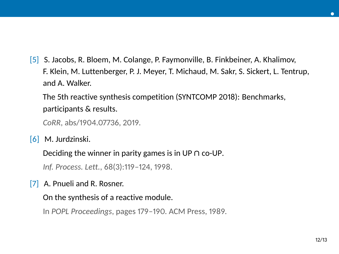<span id="page-12-2"></span>[5] S. Jacobs, R. Bloem, M. Colange, P. Faymonville, B. Finkbeiner, A. Khalimov, F. Klein, M. Luttenberger, P. J. Meyer, T. Michaud, M. Sakr, S. Sickert, L. Tentrup, and A. Walker.

The 5th reactive synthesis competition (SYNTCOMP 2018): Benchmarks, participants & results.

*CoRR*, abs/1904.07736, 2019.

<span id="page-12-0"></span>[6] M. Jurdzinski.

Deciding the winner in parity games is in UP **∩** co-UP.

*Inf. Process. Lett.*, 68(3):119–124, 1998.

<span id="page-12-1"></span>[7] A. Pnueli and R. Rosner.

On the synthesis of a reactive module.

In *POPL Proceedings*, pages 179–190. ACM Press, 1989.